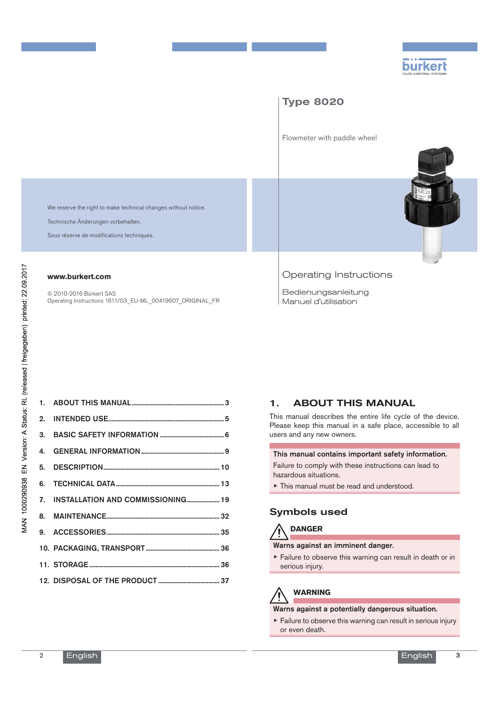

# Type 8020

Flowmeter with paddle wheel

We reserve the right to make technical changes without notice.

Technische Änderungen vorbehalten.

Sous réserve de modifications techniques.

#### **www.burkert.com**

© 2010-2016 Bürkert SAS Operating Instructions 1611/03\_EU-ML\_00419607\_ORIGINAL\_FR

#### Operating Instructions

Bedienungsanleitung Manuel d'utilisation

|  | 7. INSTALLATION AND COMMISSIONING 19 |
|--|--------------------------------------|

## 1. ABOUT THIS MANUAL

This manual describes the entire life cycle of the device. Please keep this manual in a safe place, accessible to all users and any new owners.

#### This manual contains important safety information.

Failure to comply with these instructions can lead to hazardous situations.

▶ This manual must be read and understood.

#### Symbols used



#### Warns against an imminent danger.

▶ Failure to observe this warning can result in death or in serious injury.

# **WARNING**

#### Warns against a potentially dangerous situation.

 $\triangleright$  Failure to observe this warning can result in serious injury or even death.

 $\mathfrak{O}$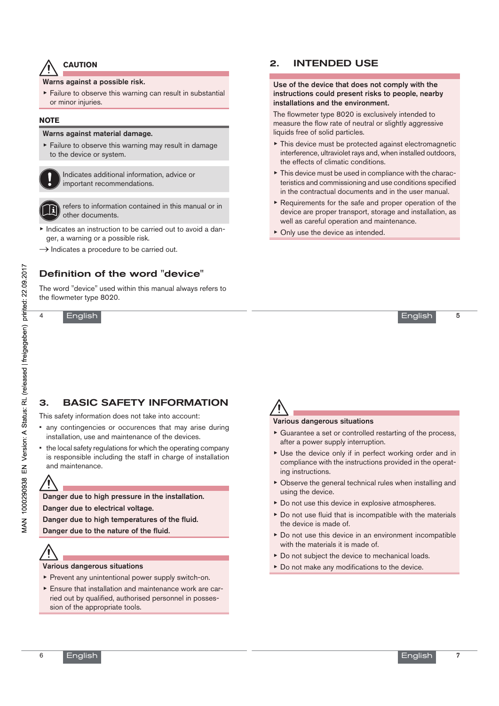#### **CAUTION**

Warns against a possible risk.

 $\triangleright$  Failure to observe this warning can result in substantial or minor injuries.

#### **NOTE**

#### Warns against material damage.

▶ Failure to observe this warning may result in damage to the device or system.

Indicates additional information, advice or important recommendations.



refers to information contained in this manual or in other documents.

- ▶ Indicates an instruction to be carried out to avoid a danger, a warning or a possible risk.
- $\rightarrow$  Indicates a procedure to be carried out.

#### Definition of the word "device"

The word "device" used within this manual always refers to the flowmeter type 8020.

English

4

#### 2. INTENDED USE

Use of the device that does not comply with the instructions could present risks to people, nearby installations and the environment.

The flowmeter type 8020 is exclusively intended to measure the flow rate of neutral or slightly aggressive liquids free of solid particles.

- $\triangleright$  This device must be protected against electromagnetic interference, ultraviolet rays and, when installed outdoors, the effects of climatic conditions.
- ▶ This device must be used in compliance with the characteristics and commissioning and use conditions specified in the contractual documents and in the user manual.
- ▶ Requirements for the safe and proper operation of the device are proper transport, storage and installation, as well as careful operation and maintenance.
- ▶ Only use the device as intended.

5

### 3. BASIC SAFETY INFORMATION

This safety information does not take into account:

- any contingencies or occurences that may arise during installation, use and maintenance of the devices.
- the local safety regulations for which the operating company is responsible including the staff in charge of installation and maintenance.

Danger due to high pressure in the installation. Danger due to electrical voltage.

Danger due to high temperatures of the fluid.

Danger due to the nature of the fluid.

#### Various dangerous situations

- ▶ Prevent any unintentional power supply switch-on.
- ▶ Ensure that installation and maintenance work are carried out by qualified, authorised personnel in possession of the appropriate tools.

#### Various dangerous situations

- $\triangleright$  Guarantee a set or controlled restarting of the process, after a power supply interruption.
- ▶ Use the device only if in perfect working order and in compliance with the instructions provided in the operating instructions.
- ▶ Observe the general technical rules when installing and using the device.
- ▶ Do not use this device in explosive atmospheres.
- $\triangleright$  Do not use fluid that is incompatible with the materials the device is made of.
- ▶ Do not use this device in an environment incompatible with the materials it is made of.
- ▶ Do not subject the device to mechanical loads.
- ▶ Do not make any modifications to the device.

6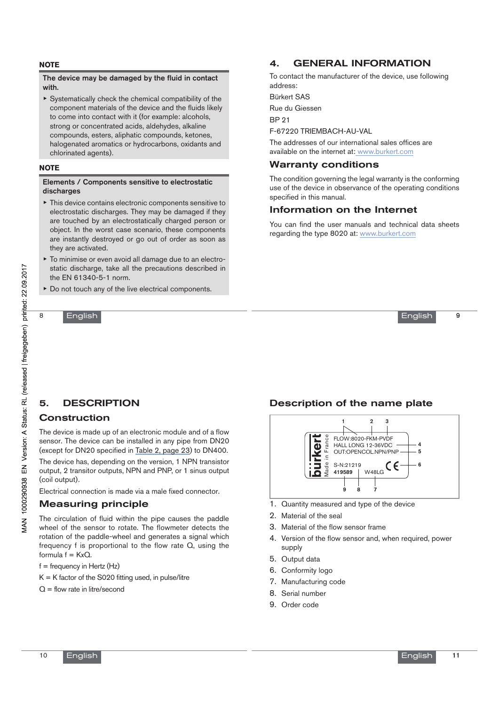#### **NOTE**

#### The device may be damaged by the fluid in contact with.

 $\triangleright$  Systematically check the chemical compatibility of the component materials of the device and the fluids likely to come into contact with it (for example: alcohols, strong or concentrated acids, aldehydes, alkaline compounds, esters, aliphatic compounds, ketones, halogenated aromatics or hydrocarbons, oxidants and chlorinated agents).

#### **NOTE**

#### Elements / Components sensitive to electrostatic discharges

- ▶ This device contains electronic components sensitive to electrostatic discharges. They may be damaged if they are touched by an electrostatically charged person or object. In the worst case scenario, these components are instantly destroyed or go out of order as soon as they are activated.
- ▶ To minimise or even avoid all damage due to an electrostatic discharge, take all the precautions described in the EN 61340-5-1 norm.
- ▶ Do not touch any of the live electrical components.

#### English

8

# 4. GENERAL INFORMATION

To contact the manufacturer of the device, use following address:

Bürkert SAS

Rue du Giessen

BP 21

F-67220 TRIEMBACH-AU-VAL

The addresses of our international sales offices are available on the internet at: www.burkert.com

#### Warranty conditions

The condition governing the legal warranty is the conforming use of the device in observance of the operating conditions specified in this manual.

#### Information on the Internet

You can find the user manuals and technical data sheets regarding the type 8020 at: www.burkert.com



 $\overline{9}$ 

## 5. DESCRIPTION

#### Construction

The device is made up of an electronic module and of a flow sensor. The device can be installed in any pipe from DN20 (except for DN20 specified in Table 2, page 23) to DN400.

The device has, depending on the version, 1 NPN transistor output, 2 transitor outputs, NPN and PNP, or 1 sinus output (coil output).

Electrical connection is made via a male fixed connector.

#### Measuring principle

The circulation of fluid within the pipe causes the paddle wheel of the sensor to rotate. The flowmeter detects the rotation of the paddle-wheel and generates a signal which frequency f is proportional to the flow rate Q, using the formula  $f = KxQ$ .

 $f = \text{frequency in Hertz}$  (Hz)

 $K = K$  factor of the S020 fitting used, in pulse/litre

 $Q =$  flow rate in litre/second

### Description of the name plate



- 1. Quantity measured and type of the device
- 2. Material of the seal
- Material of the flow sensor frame
- 4. Version of the flow sensor and, when required, power supply
- 5. Output data
- 6. Conformity logo
- 7. Manufacturing code
- 8. Serial number
- 9. Order code

10

English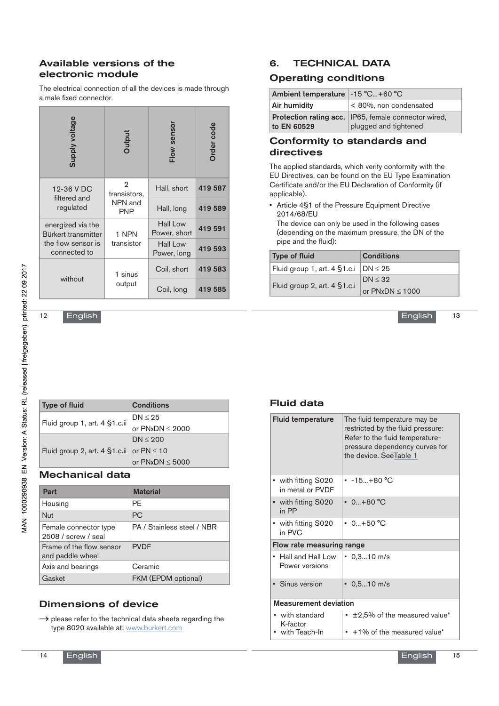#### Available versions of the electronic module

The electrical connection of all the devices is made through a male fixed connector.

| Supply voltage                           | Output                                     | Flow sensor                    | Order code |
|------------------------------------------|--------------------------------------------|--------------------------------|------------|
| 12-36 V DC<br>filtered and               | 2<br>transistors,<br>NPN and<br><b>PNP</b> | Hall, short                    | 419 587    |
| regulated                                |                                            | Hall, long                     | 419 589    |
| energized via the<br>Bürkert transmitter | 1 NPN                                      | Hall Low<br>Power, short       | 419 591    |
| the flow sensor is<br>connected to       | transistor                                 | <b>Hall Low</b><br>Power, long | 419 593    |
| without                                  | 1 sinus                                    | Coil, short                    | 419 583    |
|                                          | output                                     | Coil, long                     | 419 585    |

English

 $12$ 

| Type of fluid                                  | <b>Conditions</b>    |
|------------------------------------------------|----------------------|
|                                                | $DN \leq 25$         |
| Fluid group 1, art. 4 §1.c.ii                  | or $PNxDN \leq 2000$ |
|                                                | DN < 200             |
| Fluid group 2, art. 4 $$1.c.i$ or PN $\leq 10$ |                      |
|                                                | or $PNxDN \leq 5000$ |

### Mechanical data

| Part                                         | <b>Material</b>            |
|----------------------------------------------|----------------------------|
| Housing                                      | PF                         |
| <b>Nut</b>                                   | <b>PC</b>                  |
| Female connector type<br>2508 / screw / seal | PA / Stainless steel / NBR |
| Frame of the flow sensor<br>and paddle wheel | <b>PVDF</b>                |
| Axis and bearings                            | Ceramic                    |
| Gasket                                       | FKM (EPDM optional)        |

## Dimensions of device

 $\rightarrow$  please refer to the technical data sheets regarding the type 8020 available at: www.burkert.com

# 6. TECHNICAL DATA

#### Operating conditions

| Ambient temperature   -15 °C+60 °C |                                                                                 |
|------------------------------------|---------------------------------------------------------------------------------|
| Air humidity                       | < 80%, non condensated                                                          |
| to EN 60529                        | Protection rating acc.   IP65, female connector wired,<br>plugged and tightened |

#### Conformity to standards and directives

The applied standards, which verify conformity with the EU Directives, can be found on the EU Type Examination Certificate and/or the EU Declaration of Conformity (if applicable).

• Article 4§1 of the Pressure Equipment Directive 2014/68/EU

The device can only be used in the following cases (depending on the maximum pressure, the DN of the pipe and the fluid):

| <b>Type of fluid</b>                          | <b>Conditions</b>            |
|-----------------------------------------------|------------------------------|
| Fluid group 1, art. 4 $$1.c.i$   DN $\leq 25$ |                              |
|                                               | DN < 32<br>or $PNxDN < 1000$ |
| Fluid group 2, art. 4 §1.c.i                  |                              |

13 English

Fluid data

| <b>Fluid temperature</b>                           | The fluid temperature may be<br>restricted by the fluid pressure:<br>Refer to the fluid temperature-<br>pressure dependency curves for<br>the device. SeeTable 1 |  |
|----------------------------------------------------|------------------------------------------------------------------------------------------------------------------------------------------------------------------|--|
| ▪ with fitting S020<br>in metal or PVDF            | $-15. + 80 °C$                                                                                                                                                   |  |
| • with fitting S020<br>in PP                       | $0+80 °C$                                                                                                                                                        |  |
| ▪ with fitting S020<br>in PVC                      | $0.1 + 50^{\circ}$ C                                                                                                                                             |  |
| Flow rate measuring range                          |                                                                                                                                                                  |  |
| $\blacksquare$ Hall and Hall Low<br>Power versions | $\cdot$ 0.310 m/s                                                                                                                                                |  |
| • Sinus version                                    | $\cdot$ 0,510 m/s                                                                                                                                                |  |
| <b>Measurement deviation</b>                       |                                                                                                                                                                  |  |
| • with standard<br>K-factor<br>with Teach-In       | • ±2,5% of the measured value*<br>$+1\%$ of the measured value*                                                                                                  |  |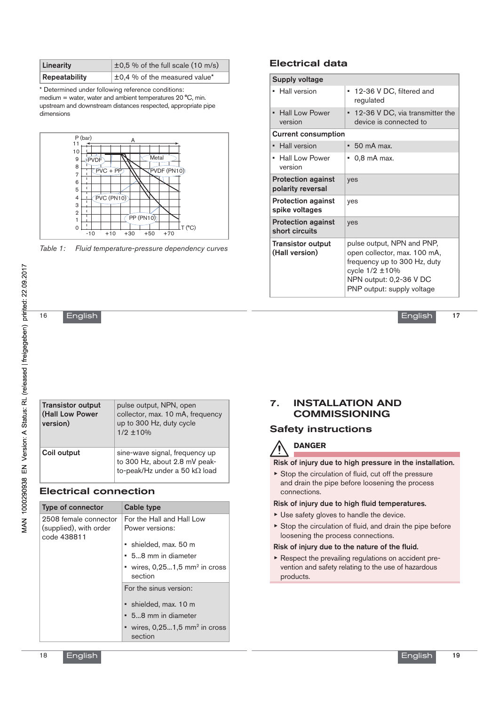| Linearity     | $\pm$ 0,5 % of the full scale (10 m/s) |
|---------------|----------------------------------------|
| Repeatability | ±0,4 % of the measured value*          |

\* Determined under following reference conditions: medium = water, water and ambient temperatures 20 °C, min. upstream and downstream distances respected, appropriate pipe dimensions



*Table 1: Fluid temperature-pressure dependency curves*

#### Electrical data

| <b>Supply voltage</b>                              |                                                                                                                                                                       |
|----------------------------------------------------|-----------------------------------------------------------------------------------------------------------------------------------------------------------------------|
| <b>Hall version</b><br>٠                           | • 12-36 V DC, filtered and<br>regulated                                                                                                                               |
| <b>Hall Low Power</b><br>$\blacksquare$<br>version | • 12-36 V DC, via transmitter the<br>device is connected to                                                                                                           |
| <b>Current consumption</b>                         |                                                                                                                                                                       |
| <b>Hall version</b><br>٠                           | $\bullet$ 50 mA max.                                                                                                                                                  |
| <b>Hall Low Power</b><br>٠<br>version              | $\bullet$ 0,8 mA max.                                                                                                                                                 |
| <b>Protection against</b><br>polarity reversal     | yes                                                                                                                                                                   |
| <b>Protection against</b><br>spike voltages        | yes                                                                                                                                                                   |
| <b>Protection against</b><br>short circuits        | yes                                                                                                                                                                   |
| <b>Transistor output</b><br>(Hall version)         | pulse output, NPN and PNP,<br>open collector, max. 100 mA,<br>frequency up to 300 Hz, duty<br>cycle 1/2 ±10%<br>NPN output: 0,2-36 V DC<br>PNP output: supply voltage |

17 English

English

| <b>Transistor output</b><br>(Hall Low Power<br>version) | pulse output, NPN, open<br>collector, max. 10 mA, frequency<br>up to 300 Hz, duty cycle<br>$1/2 \pm 10\%$ |
|---------------------------------------------------------|-----------------------------------------------------------------------------------------------------------|
| Coil output                                             | sine-wave signal, frequency up<br>to 300 Hz, about 2.8 mV peak-<br>to-peak/Hz under a 50 kΩ load          |

#### Electrical connection

| <b>Type of connector</b>                                       | Cable type                                             |
|----------------------------------------------------------------|--------------------------------------------------------|
| 2508 female connector<br>(supplied), with order<br>code 438811 | For the Hall and Hall Low<br>Power versions:           |
|                                                                | • shielded, max. 50 m                                  |
|                                                                | • 58 mm in diameter                                    |
|                                                                | • wires, $0.251.5$ mm <sup>2</sup> in cross<br>section |
|                                                                | For the sinus version:                                 |
|                                                                | · shielded, max. 10 m                                  |
|                                                                | $\bullet$ 58 mm in diameter                            |
|                                                                | • wires, $0.251.5$ mm <sup>2</sup> in cross<br>section |

#### 7. INSTALLATION AND COMMISSIONING

### Safety instructions

# **DANGER**

Risk of injury due to high pressure in the installation.

 $\triangleright$  Stop the circulation of fluid, cut off the pressure and drain the pipe before loosening the process connections.

#### Risk of injury due to high fluid temperatures.

- $\blacktriangleright$  Use safety gloves to handle the device.
- ▶ Stop the circulation of fluid, and drain the pipe before loosening the process connections.

#### Risk of injury due to the nature of the fluid.

▶ Respect the prevailing regulations on accident prevention and safety relating to the use of hazardous products.

16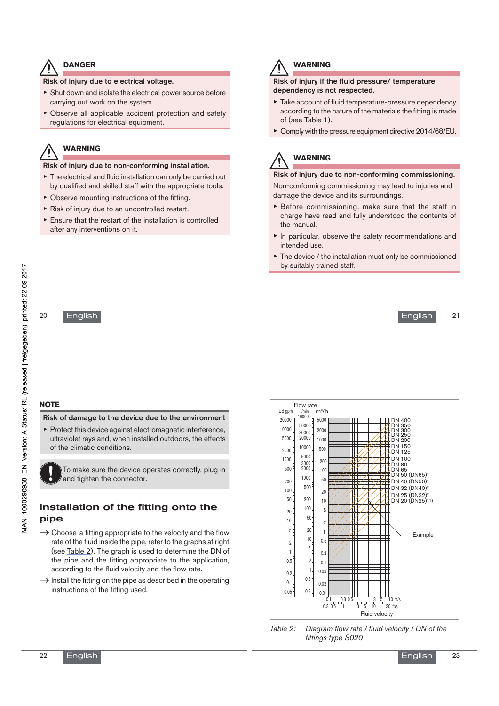#### **DANGER**

Risk of injury due to electrical voltage.

- ▶ Shut down and isolate the electrical power source before carrying out work on the system.
- ▶ Observe all applicable accident protection and safety regulations for electrical equipment.

# **WARNING**

Risk of injury due to non-conforming installation.

- $\blacktriangleright$  The electrical and fluid installation can only be carried out by qualified and skilled staff with the appropriate tools.
- $\triangleright$  Observe mounting instructions of the fitting.
- ▶ Risk of injury due to an uncontrolled restart.
- ▶ Ensure that the restart of the installation is controlled after any interventions on it.



#### **WARNING**

#### Risk of injury if the fluid pressure/ temperature dependency is not respected.

- ▶ Take account of fluid temperature-pressure dependency according to the nature of the materials the fitting is made of (see Table 1).
- ▶ Comply with the pressure equipment directive 2014/68/EU.

# **WARNING**

Risk of injury due to non-conforming commissioning. Non-conforming commissioning may lead to injuries and damage the device and its surroundings.

- ▶ Before commissioning, make sure that the staff in charge have read and fully understood the contents of the manual.
- ▶ In particular, observe the safety recommendations and intended use.
- The device / the installation must only be commissioned by suitably trained staff.

English

VIAN 1000290938 EN Version: A Status: RL (released | freigegeben) printed: 22.09.2017

20

English

## **NOTE**

Risk of damage to the device due to the environment

 $\blacktriangleright$  Protect this device against electromagnetic interference, ultraviolet rays and, when installed outdoors, the effects of the climatic conditions.

To make sure the device operates correctly, plug in and tighten the connector.

### Installation of the fitting onto the pipe

- $\rightarrow$  Choose a fitting appropriate to the velocity and the flow rate of the fluid inside the pipe, refer to the graphs at right (see Table 2). The graph is used to determine the DN of the pipe and the fitting appropriate to the application, according to the fluid velocity and the flow rate.
- $\rightarrow$  Install the fitting on the pipe as described in the operating instructions of the fitting used.



*Table 2: Diagram flow rate / fluid velocity / DN of the fittings type S020*

23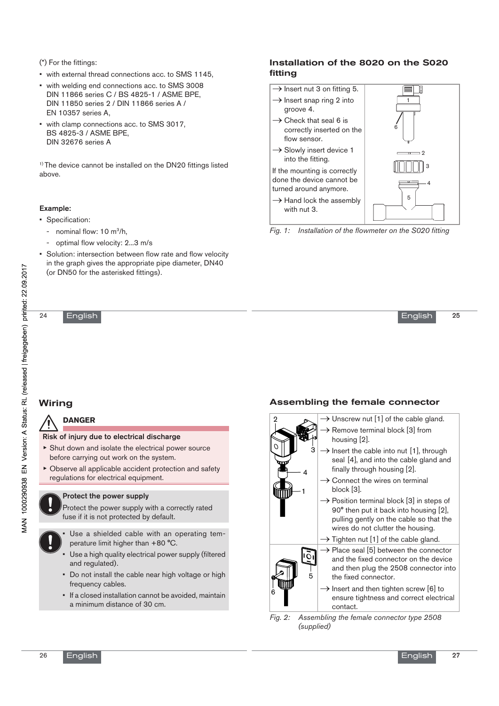(\*) For the fittings:

- with external thread connections acc. to SMS 1145,
- with welding end connections acc. to SMS 3008 DIN 11866 series C / BS 4825-1 / ASME BPE, DIN 11850 series 2 / DIN 11866 series A / EN 10357 series A,
- with clamp connections acc. to SMS 3017, BS 4825-3 / ASME BPE, DIN 32676 series A

<sup>1)</sup> The device cannot be installed on the DN20 fittings listed above.

#### Example:

- Specification:
	- nominal flow: 10 m<sup>3</sup>/h,
	- optimal flow velocity: 2...3 m/s
- Solution: intersection between flow rate and flow velocity in the graph gives the appropriate pipe diameter, DN40 (or DN50 for the asterisked fittings).

#### English

#### Installation of the 8020 on the S020 fitting

 $\rightarrow$  Insert nut 3 on fitting 5. Œ  $\rightarrow$  Insert snap ring 2 into 1 groove 4.  $\rightarrow$  Check that seal 6 is 6 correctly inserted on the flow sensor.  $\rightarrow$  Slowly insert device 1 2 into the fitting. 3 If the mounting is correctly done the device cannot be 4 turned around anymore. 5  $\rightarrow$  Hand lock the assembly with nut 3.

*Fig. 1: Installation of the flowmeter on the S020 fitting*

25 English

# Wiring

24

### **DANGER**

- Risk of injury due to electrical discharge
- ▶ Shut down and isolate the electrical power source before carrying out work on the system.
- ▶ Observe all applicable accident protection and safety regulations for electrical equipment.

#### Protect the power supply

Protect the power supply with a correctly rated fuse if it is not protected by default.



- Use a high quality electrical power supply (filtered and regulated).
- Do not install the cable near high voltage or high frequency cables.
- If a closed installation cannot be avoided, maintain a minimum distance of 30 cm.

### Assembling the female connector



*Fig. 2: Assembling the female connector type 2508 (supplied)*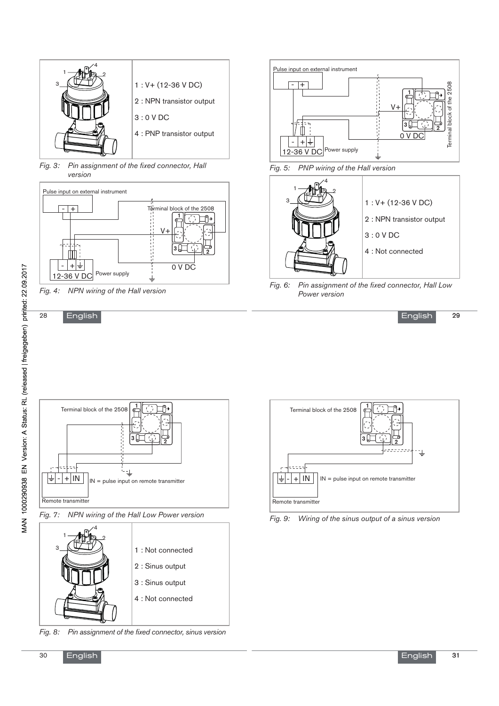

*Fig. 3: Pin assignment of the fixed connector, Hall version*



*Fig. 4: NPN wiring of the Hall version*

English



*Fig. 5: PNP wiring of the Hall version*



*Fig. 6: Pin assignment of the fixed connector, Hall Low Power version*









*Fig. 8: Pin assignment of the fixed connector, sinus version*



*Fig. 9: Wiring of the sinus output of a sinus version*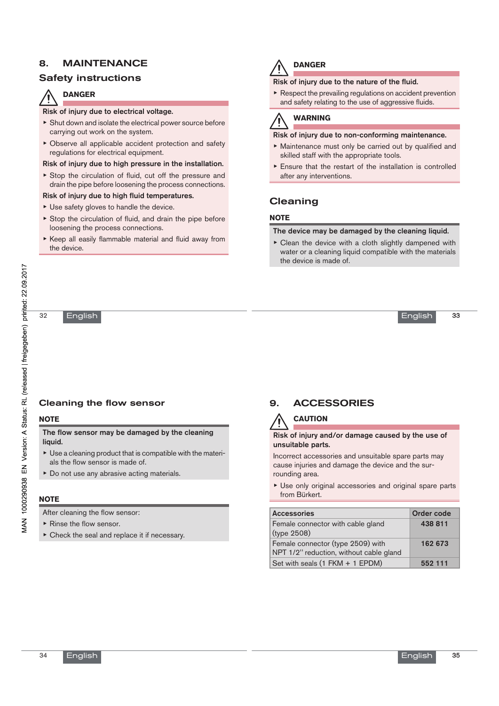### 8. MAINTENANCE

### Safety instructions

## **DANGER**

#### Risk of injury due to electrical voltage.

- ▶ Shut down and isolate the electrical power source before carrying out work on the system.
- ▶ Observe all applicable accident protection and safety regulations for electrical equipment.

#### Risk of injury due to high pressure in the installation.

▶ Stop the circulation of fluid, cut off the pressure and drain the pipe before loosening the process connections.

#### Risk of injury due to high fluid temperatures.

- $\triangleright$  Use safety gloves to handle the device.
- $\triangleright$  Stop the circulation of fluid, and drain the pipe before loosening the process connections.
- ▶ Keep all easily flammable material and fluid away from the device.

# **DANGER**

#### Risk of injury due to the nature of the fluid.

 $\triangleright$  Respect the prevailing regulations on accident prevention and safety relating to the use of aggressive fluids.

# **WARNING**

#### Risk of injury due to non-conforming maintenance.

- ▶ Maintenance must only be carried out by qualified and skilled staff with the appropriate tools.
- $\triangleright$  Ensure that the restart of the installation is controlled after any interventions.

### Cleaning

#### **NOTE**

#### The device may be damaged by the cleaning liquid.

▶ Clean the device with a cloth slightly dampened with water or a cleaning liquid compatible with the materials the device is made of.

English

#### Cleaning the flow sensor

#### **NOTE**

32

The flow sensor may be damaged by the cleaning liquid.

- ▶ Use a cleaning product that is compatible with the materials the flow sensor is made of.
- ▶ Do not use any abrasive acting materials.

#### **NOTE**

After cleaning the flow sensor:

- ▶ Rinse the flow sensor.
- $\triangleright$  Check the seal and replace it if necessary.

# 9. ACCESSORIES

# **CAUTION**

Risk of injury and/or damage caused by the use of unsuitable parts.

Incorrect accessories and unsuitable spare parts may cause injuries and damage the device and the surrounding area.

▶ Use only original accessories and original spare parts from Bürkert.

| <b>Accessories</b>                                                           | Order code |
|------------------------------------------------------------------------------|------------|
| Female connector with cable gland<br>(type 2508)                             | 438 811    |
| Female connector (type 2509) with<br>NPT 1/2" reduction, without cable gland | 162 673    |
| Set with seals (1 FKM + 1 EPDM)                                              | 552 111    |

34

33

English